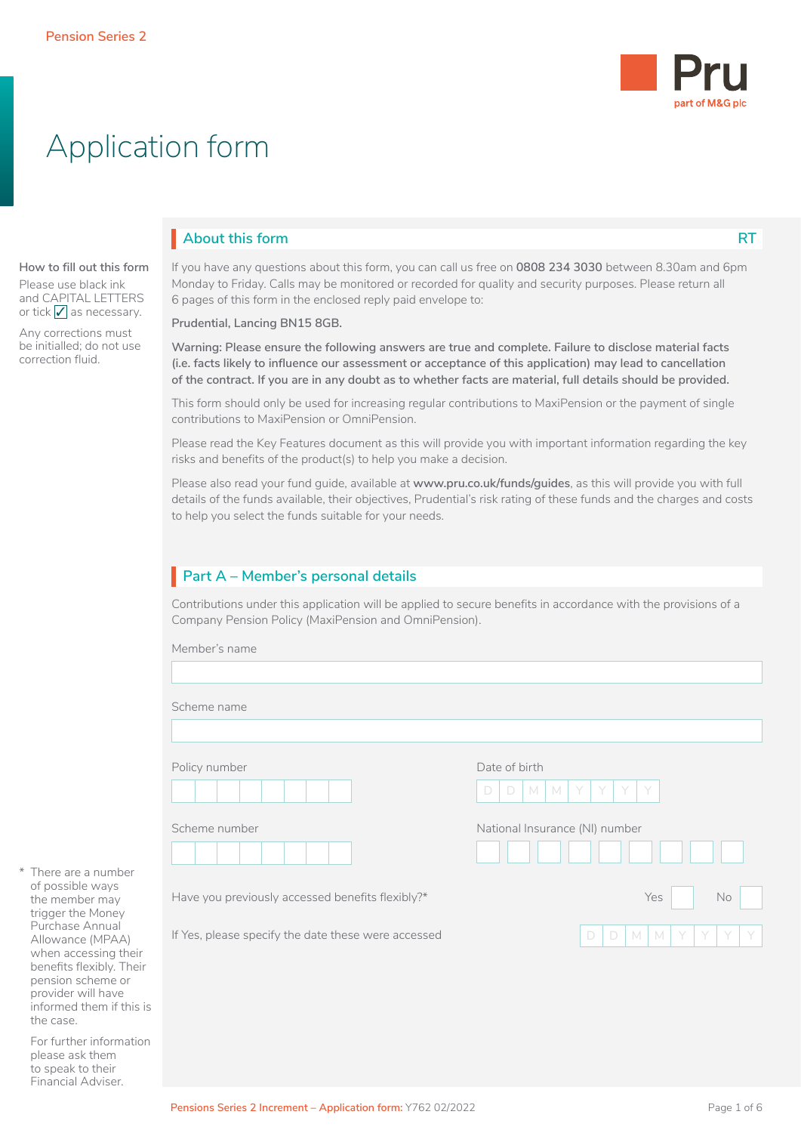

# Application form

# **About this form**

### **How to fill out this form**

Please use black ink and CAPITAL LETTERS or tick  $\sqrt{\ }$  as necessary.

Any corrections must be initialled; do not use correction fluid.

If you have any questions about this form, you can call us free on **0808 234 3030** between 8.30am and 6pm Monday to Friday. Calls may be monitored or recorded for quality and security purposes. Please return all 6 pages of this form in the enclosed reply paid envelope to:

**Prudential, Lancing BN15 8GB.**

**Warning: Please ensure the following answers are true and complete. Failure to disclose material facts (i.e. facts likely to influence our assessment or acceptance of this application) may lead to cancellation of the contract. If you are in any doubt as to whether facts are material, full details should be provided.**

This form should only be used for increasing regular contributions to MaxiPension or the payment of single contributions to MaxiPension or OmniPension.

Please read the Key Features document as this will provide you with important information regarding the key risks and benefits of the product(s) to help you make a decision.

Please also read your fund guide, available at **www.pru.co.uk/funds/guides**, as this will provide you with full details of the funds available, their objectives, Prudential's risk rating of these funds and the charges and costs to help you select the funds suitable for your needs.

# **Part A – Member's personal details** I

Contributions under this application will be applied to secure benefits in accordance with the provisions of a Company Pension Policy (MaxiPension and OmniPension).

| Scheme name                                         |                                       |
|-----------------------------------------------------|---------------------------------------|
|                                                     |                                       |
| Policy number                                       | Date of birth                         |
|                                                     | M<br>Y.<br>D<br>D<br>M<br>Y<br>Y<br>Y |
|                                                     |                                       |
| Scheme number                                       | National Insurance (NI) number        |
|                                                     |                                       |
|                                                     |                                       |
| Have you previously accessed benefits flexibly?*    | Yes<br>$\mathsf{No}$                  |
|                                                     |                                       |
| If Yes, please specify the date these were accessed | M<br>$\Box$<br>D<br>M<br>Y<br>Y<br>Y  |

There are a numbe of possible ways the member may trigger the Money Purchase Annual Allowance (MPAA) when accessing th benefits flexibly. The pension scheme or provider will have informed them if this is the case.

For further information please ask them to speak to their Financial Adviser.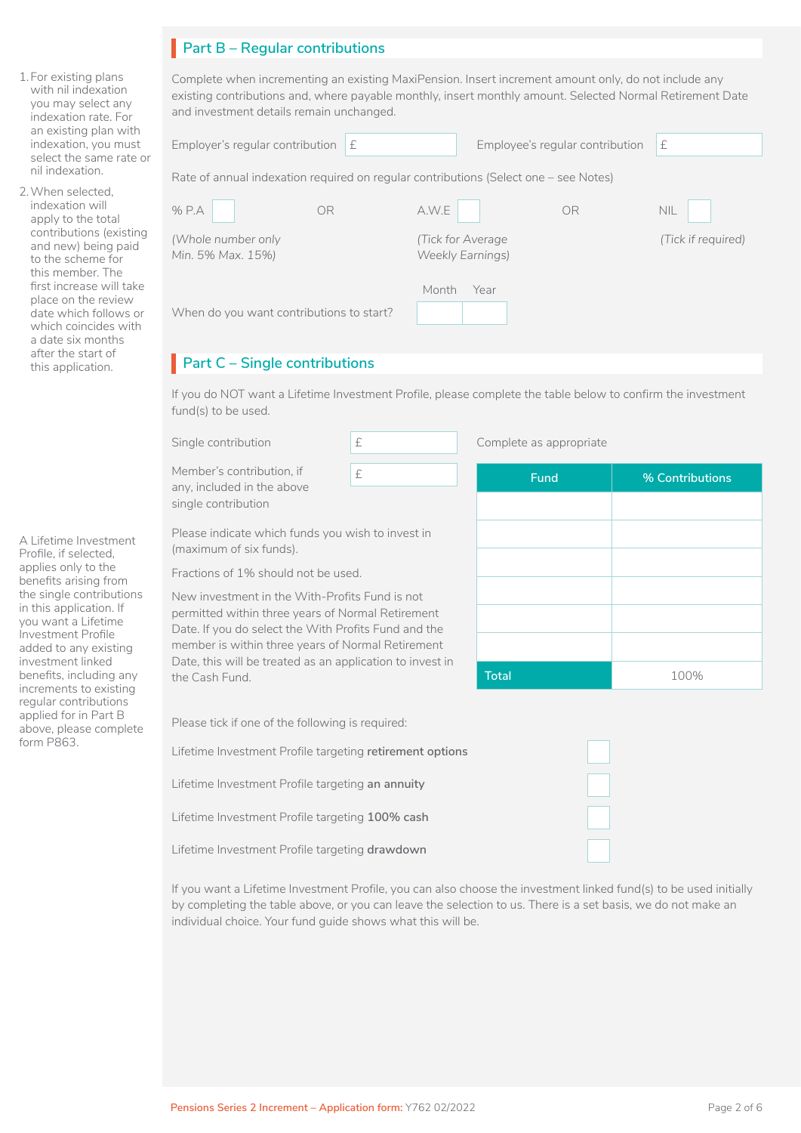# **Part B – Regular contributions** I

Complete when incrementing an existing MaxiPension. Insert increment amount only, do not include any existing contributions and, where payable monthly, insert monthly amount. Selected Normal Retirement Date and investment details remain unchanged.

| an existing plan with<br>indexation, you must<br>select the same rate or                                              | Employer's regular contribution $E$                                                  | Employee's regular contribution               | £                  |
|-----------------------------------------------------------------------------------------------------------------------|--------------------------------------------------------------------------------------|-----------------------------------------------|--------------------|
| nil indexation.                                                                                                       | Rate of annual indexation required on reqular contributions (Select one – see Notes) |                                               |                    |
| When selected.<br>indexation will<br>apply to the total                                                               | % P.A<br>OR                                                                          | A.W.E<br>OR                                   | <b>NIL</b>         |
| contributions (existing<br>and new) being paid<br>to the scheme for<br>this member. The                               | (Whole number only)<br>Min. 5% Max. 15%)                                             | (Tick for Average)<br><b>Weekly Earnings)</b> | (Tick if required) |
| first increase will take<br>place on the review<br>date which follows or<br>which coincides with<br>a date six months | When do you want contributions to start?                                             | Year<br>Month                                 |                    |

# **Part C – Single contributions**

If you do NOT want a Lifetime Investment Profile, please complete the table below to confirm the investment fund(s) to be used.

| Single contribution                                                                                                                                            | £ |  | Complete as appropriate |                 |
|----------------------------------------------------------------------------------------------------------------------------------------------------------------|---|--|-------------------------|-----------------|
| Member's contribution, if<br>any, included in the above<br>single contribution                                                                                 | £ |  | Fund                    | % Contributions |
| Please indicate which funds you wish to invest in<br>(maximum of six funds).                                                                                   |   |  |                         |                 |
| Fractions of 1% should not be used.                                                                                                                            |   |  |                         |                 |
| New investment in the With-Profits Fund is not                                                                                                                 |   |  |                         |                 |
| permitted within three years of Normal Retirement<br>Date. If you do select the With Profits Fund and the<br>member is within three years of Normal Retirement |   |  |                         |                 |
|                                                                                                                                                                |   |  |                         |                 |
| Date, this will be treated as an application to invest in                                                                                                      |   |  |                         |                 |

**Total** 100%

 $\Box$ 

□  $\Box$ 

□

Please tick if one of the following is required:

the Cash Fund.

Lifetime Investment Profile targeting **retirement options**

Lifetime Investment Profile targeting **an annuity**

Lifetime Investment Profile targeting **100% cash**

Lifetime Investment Profile targeting **drawdown**

If you want a Lifetime Investment Profile, you can also choose the investment linked fund(s) to be used initially by completing the table above, or you can leave the selection to us. There is a set basis, we do not make an individual choice. Your fund guide shows what this will be.

A Lifetime Investment Profile, if selected, applies only to the benefits arising from the single contributions in this application. If you want a Lifetime Investment Profile added to any existing investment linked benefits, including any increments to existing regular contributions applied for in Part B above, please complete form P863.

1.For existing plans with nil indexation you may select any indexation rate. For

select the same rate nil indexation. 2.When selected, indexation will apply to the total

a date six months after the start of this application.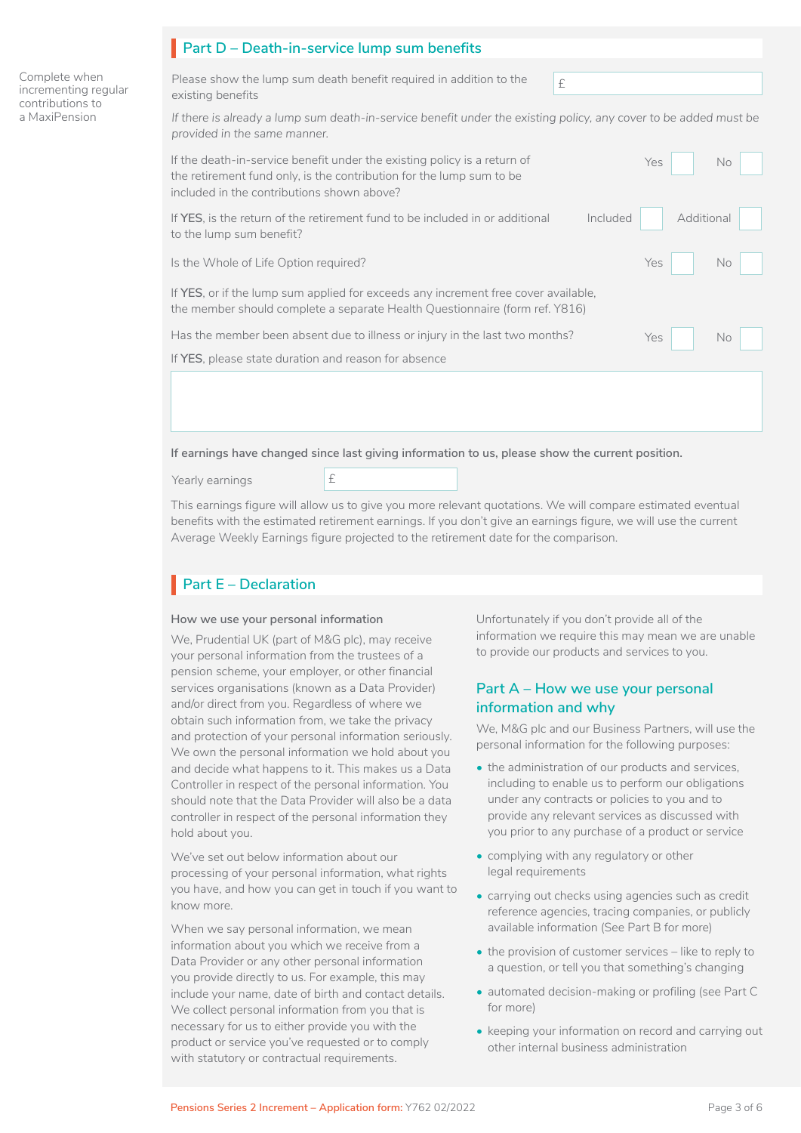| Complete when<br>incrementing regular<br>contributions to<br>a MaxiPension | Please show the lump sum death benefit required in addition to the<br>£<br>existing benefits                                                                                                                 |  |  |  |  |  |
|----------------------------------------------------------------------------|--------------------------------------------------------------------------------------------------------------------------------------------------------------------------------------------------------------|--|--|--|--|--|
|                                                                            | If there is already a lump sum death-in-service benefit under the existing policy, any cover to be added must be<br>provided in the same manner.                                                             |  |  |  |  |  |
|                                                                            | If the death-in-service benefit under the existing policy is a return of<br>Yes<br>No.<br>the retirement fund only, is the contribution for the lump sum to be<br>included in the contributions shown above? |  |  |  |  |  |
|                                                                            | If YES, is the return of the retirement fund to be included in or additional<br>Additional<br>Included<br>to the lump sum benefit?                                                                           |  |  |  |  |  |
|                                                                            | Is the Whole of Life Option required?<br>Yes<br><b>No</b>                                                                                                                                                    |  |  |  |  |  |
|                                                                            | If YES, or if the lump sum applied for exceeds any increment free cover available,<br>the member should complete a separate Health Questionnaire (form ref. Y816)                                            |  |  |  |  |  |
|                                                                            | Has the member been absent due to illness or injury in the last two months?<br>Yes<br><b>No</b>                                                                                                              |  |  |  |  |  |
|                                                                            | If YES, please state duration and reason for absence                                                                                                                                                         |  |  |  |  |  |

**If earnings have changed since last giving information to us, please show the current position.**

Yearly earnings  $\mathbf{E}$ 

> This earnings figure will allow us to give you more relevant quotations. We will compare estimated eventual benefits with the estimated retirement earnings. If you don't give an earnings figure, we will use the current Average Weekly Earnings figure projected to the retirement date for the comparison.

# Part E – Declaration

#### **How we use your personal information**

We, Prudential UK (part of M&G plc), may receive your personal information from the trustees of a pension scheme, your employer, or other financial services organisations (known as a Data Provider) and/or direct from you. Regardless of where we obtain such information from, we take the privacy and protection of your personal information seriously. We own the personal information we hold about you and decide what happens to it. This makes us a Data Controller in respect of the personal information. You should note that the Data Provider will also be a data controller in respect of the personal information they hold about you.

We've set out below information about our processing of your personal information, what rights you have, and how you can get in touch if you want to know more.

When we say personal information, we mean information about you which we receive from a Data Provider or any other personal information you provide directly to us. For example, this may include your name, date of birth and contact details. We collect personal information from you that is necessary for us to either provide you with the product or service you've requested or to comply with statutory or contractual requirements.

Unfortunately if you don't provide all of the information we require this may mean we are unable to provide our products and services to you.

### **Part A – How we use your personal information and why**

We, M&G plc and our Business Partners, will use the personal information for the following purposes:

- the administration of our products and services, including to enable us to perform our obligations under any contracts or policies to you and to provide any relevant services as discussed with you prior to any purchase of a product or service
- complying with any regulatory or other legal requirements
- carrying out checks using agencies such as credit reference agencies, tracing companies, or publicly available information (See Part B for more)
- the provision of customer services like to reply to a question, or tell you that something's changing
- automated decision-making or profiling (see Part C for more)
- keeping your information on record and carrying out other internal business administration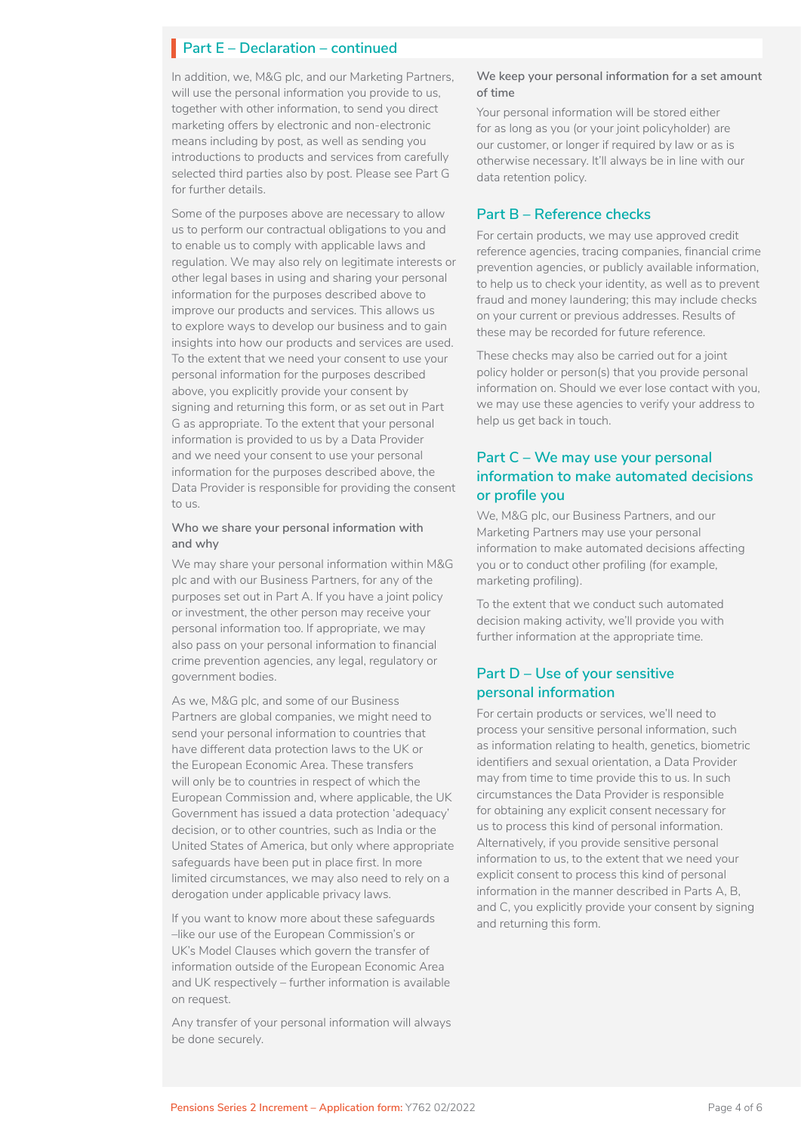# **Part E – Declaration – continued**

In addition, we, M&G plc, and our Marketing Partners, will use the personal information you provide to us, together with other information, to send you direct marketing offers by electronic and non-electronic means including by post, as well as sending you introductions to products and services from carefully selected third parties also by post. Please see Part G for further details.

Some of the purposes above are necessary to allow us to perform our contractual obligations to you and to enable us to comply with applicable laws and regulation. We may also rely on legitimate interests or other legal bases in using and sharing your personal information for the purposes described above to improve our products and services. This allows us to explore ways to develop our business and to gain insights into how our products and services are used. To the extent that we need your consent to use your personal information for the purposes described above, you explicitly provide your consent by signing and returning this form, or as set out in Part G as appropriate. To the extent that your personal information is provided to us by a Data Provider and we need your consent to use your personal information for the purposes described above, the Data Provider is responsible for providing the consent to us.

#### **Who we share your personal information with and why**

We may share your personal information within M&G plc and with our Business Partners, for any of the purposes set out in Part A. If you have a joint policy or investment, the other person may receive your personal information too. If appropriate, we may also pass on your personal information to financial crime prevention agencies, any legal, regulatory or government bodies.

As we, M&G plc, and some of our Business Partners are global companies, we might need to send your personal information to countries that have different data protection laws to the UK or the European Economic Area. These transfers will only be to countries in respect of which the European Commission and, where applicable, the UK Government has issued a data protection 'adequacy' decision, or to other countries, such as India or the United States of America, but only where appropriate safeguards have been put in place first. In more limited circumstances, we may also need to rely on a derogation under applicable privacy laws.

If you want to know more about these safeguards –like our use of the European Commission's or UK's Model Clauses which govern the transfer of information outside of the European Economic Area and UK respectively – further information is available on request.

Any transfer of your personal information will always be done securely.

#### **We keep your personal information for a set amount of time**

Your personal information will be stored either for as long as you (or your joint policyholder) are our customer, or longer if required by law or as is otherwise necessary. It'll always be in line with our data retention policy.

#### **Part B – Reference checks**

For certain products, we may use approved credit reference agencies, tracing companies, financial crime prevention agencies, or publicly available information, to help us to check your identity, as well as to prevent fraud and money laundering; this may include checks on your current or previous addresses. Results of these may be recorded for future reference.

These checks may also be carried out for a joint policy holder or person(s) that you provide personal information on. Should we ever lose contact with you, we may use these agencies to verify your address to help us get back in touch.

### **Part C – We may use your personal information to make automated decisions or profile you**

We, M&G plc, our Business Partners, and our Marketing Partners may use your personal information to make automated decisions affecting you or to conduct other profiling (for example, marketing profiling).

To the extent that we conduct such automated decision making activity, we'll provide you with further information at the appropriate time.

### **Part D – Use of your sensitive personal information**

For certain products or services, we'll need to process your sensitive personal information, such as information relating to health, genetics, biometric identifiers and sexual orientation, a Data Provider may from time to time provide this to us. In such circumstances the Data Provider is responsible for obtaining any explicit consent necessary for us to process this kind of personal information. Alternatively, if you provide sensitive personal information to us, to the extent that we need your explicit consent to process this kind of personal information in the manner described in Parts A, B, and C, you explicitly provide your consent by signing and returning this form.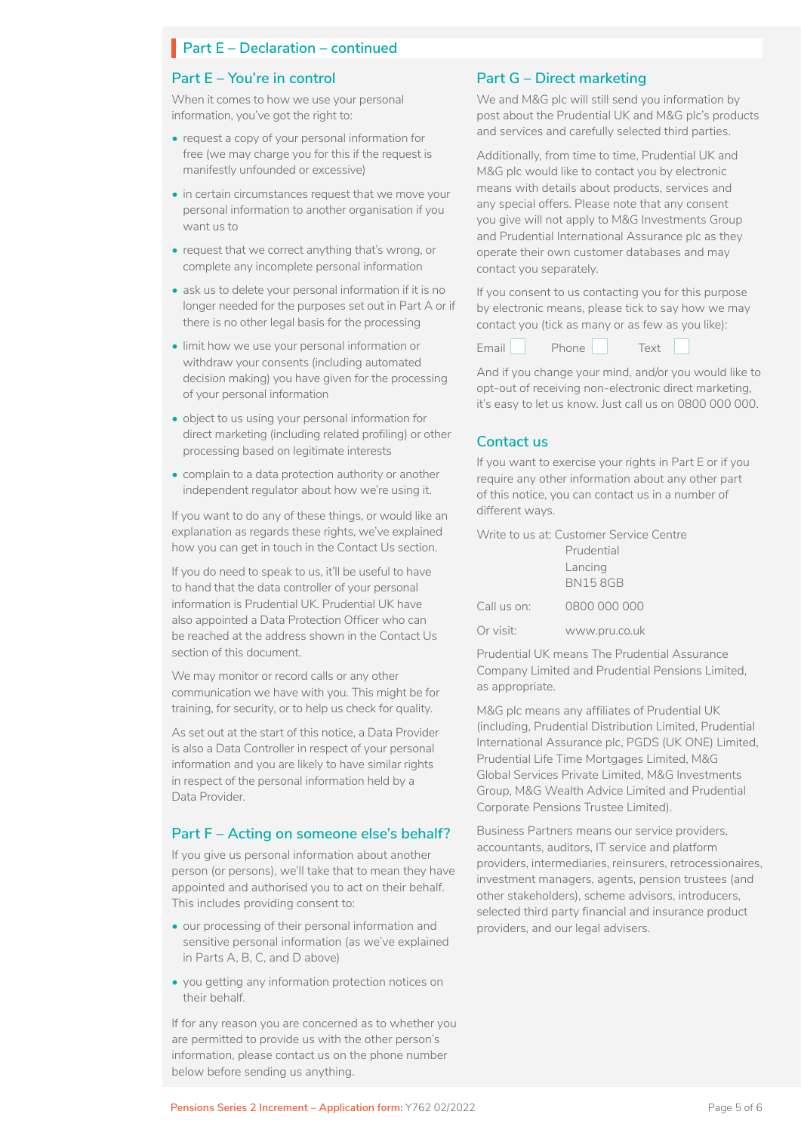# **Part E – Declaration – continued**

#### **Part E – You're in control**

When it comes to how we use your personal information, you've got the right to:

- request a copy of your personal information for free (we may charge you for this if the request is manifestly unfounded or excessive)
- in certain circumstances request that we move your personal information to another organisation if you want us to
- request that we correct anything that's wrong, or complete any incomplete personal information
- ask us to delete your personal information if it is no longer needed for the purposes set out in Part A or if there is no other legal basis for the processing
- limit how we use your personal information or withdraw your consents (including automated decision making) you have given for the processing of your personal information
- object to us using your personal information for direct marketing (including related profiling) or other processing based on legitimate interests
- complain to a data protection authority or another independent regulator about how we're using it.

If you want to do any of these things, or would like an explanation as regards these rights, we've explained how you can get in touch in the Contact Us section.

If you do need to speak to us, it'll be useful to have to hand that the data controller of your personal information is Prudential UK. Prudential UK have also appointed a Data Protection Officer who can be reached at the address shown in the Contact Us section of this document.

We may monitor or record calls or any other communication we have with you. This might be for training, for security, or to help us check for quality.

As set out at the start of this notice, a Data Provider is also a Data Controller in respect of your personal information and you are likely to have similar rights in respect of the personal information held by a Data Provider.

#### **Part F – Acting on someone else's behalf?**

If you give us personal information about another person (or persons), we'll take that to mean they have appointed and authorised you to act on their behalf. This includes providing consent to:

- our processing of their personal information and sensitive personal information (as we've explained in Parts A, B, C, and D above)
- you getting any information protection notices on their behalf.

If for any reason you are concerned as to whether you are permitted to provide us with the other person's information, please contact us on the phone number below before sending us anything.

#### **Part G – Direct marketing**

We and M&G plc will still send you information by post about the Prudential UK and M&G plc's products and services and carefully selected third parties.

Additionally, from time to time, Prudential UK and M&G plc would like to contact you by electronic means with details about products, services and any special offers. Please note that any consent you give will not apply to M&G Investments Group and Prudential International Assurance plc as they operate their own customer databases and may contact you separately.

If you consent to us contacting you for this purpose by electronic means, please tick to say how we may contact you (tick as many or as few as you like):

Email Phone Fext  $\Box$ 

And if you change your mind, and/or you would like to opt-out of receiving non-electronic direct marketing, it's easy to let us know. Just call us on 0800 000 000.

### **Contact us**

If you want to exercise your rights in Part E or if you require any other information about any other part of this notice, you can contact us in a number of different ways.

Write to us at: Customer Service Centre

|             | Prudential     |  |
|-------------|----------------|--|
|             | Lancing        |  |
|             | <b>BN158GB</b> |  |
| Call us on: | 0800 000 000   |  |
| Or visit:   | www.pru.co.uk  |  |

Prudential UK means The Prudential Assurance Company Limited and Prudential Pensions Limited, as appropriate.

M&G plc means any affiliates of Prudential UK (including, Prudential Distribution Limited, Prudential International Assurance plc, PGDS (UK ONE) Limited, Prudential Life Time Mortgages Limited, M&G Global Services Private Limited, M&G Investments Group, M&G Wealth Advice Limited and Prudential Corporate Pensions Trustee Limited).

Business Partners means our service providers, accountants, auditors, IT service and platform providers, intermediaries, reinsurers, retrocessionaires, investment managers, agents, pension trustees (and other stakeholders), scheme advisors, introducers, selected third party financial and insurance product providers, and our legal advisers.